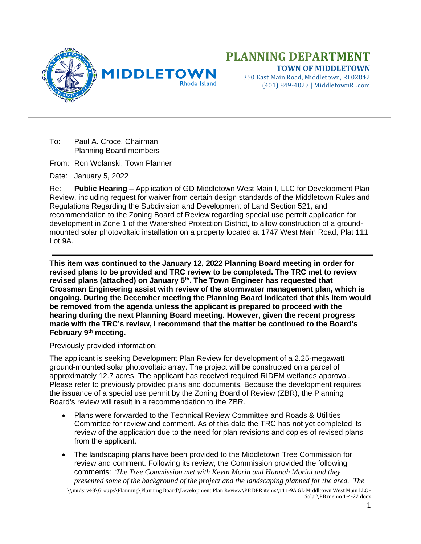

(401) 849-4027 | MiddletownRI.com

To: Paul A. Croce, Chairman Planning Board members

From: Ron Wolanski, Town Planner

Date: January 5, 2022

Re: **Public Hearing** – Application of GD Middletown West Main I, LLC for Development Plan Review, including request for waiver from certain design standards of the Middletown Rules and Regulations Regarding the Subdivision and Development of Land Section 521, and recommendation to the Zoning Board of Review regarding special use permit application for development in Zone 1 of the Watershed Protection District, to allow construction of a groundmounted solar photovoltaic installation on a property located at 1747 West Main Road, Plat 111 Lot 9A.

**This item was continued to the January 12, 2022 Planning Board meeting in order for revised plans to be provided and TRC review to be completed. The TRC met to review revised plans (attached) on January 5th. The Town Engineer has requested that Crossman Engineering assist with review of the stormwater management plan, which is ongoing. During the December meeting the Planning Board indicated that this item would be removed from the agenda unless the applicant is prepared to proceed with the hearing during the next Planning Board meeting. However, given the recent progress made with the TRC's review, I recommend that the matter be continued to the Board's February 9th meeting.**

Previously provided information:

The applicant is seeking Development Plan Review for development of a 2.25-megawatt ground-mounted solar photovoltaic array. The project will be constructed on a parcel of approximately 12.7 acres. The applicant has received required RIDEM wetlands approval. Please refer to previously provided plans and documents. Because the development requires the issuance of a special use permit by the Zoning Board of Review (ZBR), the Planning Board's review will result in a recommendation to the ZBR.

- Plans were forwarded to the Technical Review Committee and Roads & Utilities Committee for review and comment. As of this date the TRC has not yet completed its review of the application due to the need for plan revisions and copies of revised plans from the applicant.
- The landscaping plans have been provided to the Middletown Tree Commission for review and comment. Following its review, the Commission provided the following comments: "*The Tree Commission met with Kevin Morin and Hannah Morini and they presented some of the background of the project and the landscaping planned for the area. The*

\\midsrv48\Groups\Planning\Planning Board\Development Plan Review\PB DPR items\111-9A GD Middltown West Main LLC - Solar\PB memo 1-4-22.docx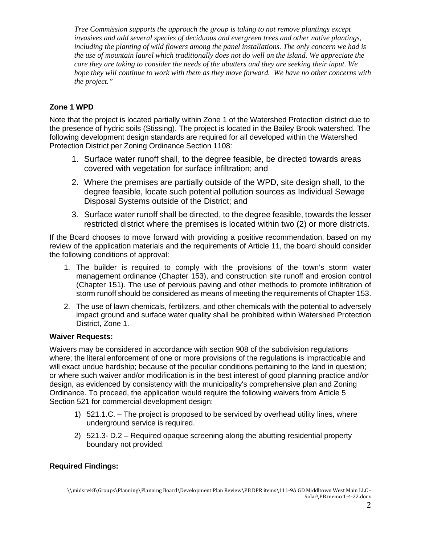*Tree Commission supports the approach the group is taking to not remove plantings except invasives and add several species of deciduous and evergreen trees and other native plantings, including the planting of wild flowers among the panel installations. The only concern we had is the use of mountain laurel which traditionally does not do well on the island. We appreciate the care they are taking to consider the needs of the abutters and they are seeking their input. We hope they will continue to work with them as they move forward. We have no other concerns with the project."*

## **Zone 1 WPD**

Note that the project is located partially within Zone 1 of the Watershed Protection district due to the presence of hydric soils (Stissing). The project is located in the Bailey Brook watershed. The following development design standards are required for all developed within the Watershed Protection District per Zoning Ordinance Section 1108:

- 1. Surface water runoff shall, to the degree feasible, be directed towards areas covered with vegetation for surface infiltration; and
- 2. Where the premises are partially outside of the WPD, site design shall, to the degree feasible, locate such potential pollution sources as Individual Sewage Disposal Systems outside of the District; and
- 3. Surface water runoff shall be directed, to the degree feasible, towards the lesser restricted district where the premises is located within two (2) or more districts.

If the Board chooses to move forward with providing a positive recommendation, based on my review of the application materials and the requirements of Article 11, the board should consider the following conditions of approval:

- 1. The builder is required to comply with the provisions of the town's storm water management ordinance (Chapter 153), and construction site runoff and erosion control (Chapter 151). The use of pervious paving and other methods to promote infiltration of storm runoff should be considered as means of meeting the requirements of Chapter 153.
- 2. The use of lawn chemicals, fertilizers, and other chemicals with the potential to adversely impact ground and surface water quality shall be prohibited within Watershed Protection District, Zone 1.

## **Waiver Requests:**

Waivers may be considered in accordance with section 908 of the subdivision regulations where; the literal enforcement of one or more provisions of the regulations is impracticable and will exact undue hardship; because of the peculiar conditions pertaining to the land in question; or where such waiver and/or modification is in the best interest of good planning practice and/or design, as evidenced by consistency with the municipality's comprehensive plan and Zoning Ordinance. To proceed, the application would require the following waivers from Article 5 Section 521 for commercial development design:

- 1) 521.1.C. The project is proposed to be serviced by overhead utility lines, where underground service is required.
- 2) 521.3- D.2 Required opaque screening along the abutting residential property boundary not provided.

## **Required Findings:**